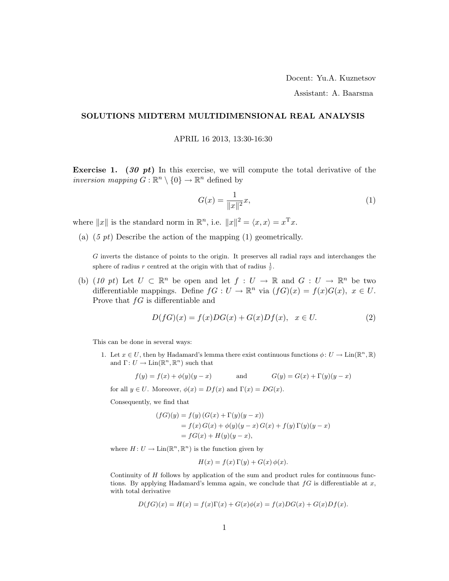Assistant: A. Baarsma

## SOLUTIONS MIDTERM MULTIDIMENSIONAL REAL ANALYSIS

APRIL 16 2013, 13:30-16:30

Exercise 1. (30 pt) In this exercise, we will compute the total derivative of the inversion mapping  $G : \mathbb{R}^n \setminus \{0\} \to \mathbb{R}^n$  defined by

$$
G(x) = \frac{1}{\|x\|^2} x,\tag{1}
$$

where  $||x||$  is the standard norm in  $\mathbb{R}^n$ , i.e.  $||x||^2 = \langle x, x \rangle = x^{\mathrm{T}} x$ .

(a)  $(5 \text{ pt})$  Describe the action of the mapping  $(1)$  geometrically.

G inverts the distance of points to the origin. It preserves all radial rays and interchanges the sphere of radius r centred at the origin with that of radius  $\frac{1}{r}$ .

(b) (10 pt) Let  $U \subset \mathbb{R}^n$  be open and let  $f: U \to \mathbb{R}$  and  $G: U \to \mathbb{R}^n$  be two differentiable mappings. Define  $f: U \to \mathbb{R}^n$  via  $(fG)(x) = f(x)G(x), x \in U$ . Prove that  $fG$  is differentiable and

$$
D(fG)(x) = f(x)DG(x) + G(x)Df(x), \quad x \in U.
$$
\n<sup>(2)</sup>

This can be done in several ways:

1. Let  $x \in U$ , then by Hadamard's lemma there exist continuous functions  $\phi: U \to \text{Lin}(\mathbb{R}^n, \mathbb{R})$ and  $\Gamma: U \to \text{Lin}(\mathbb{R}^n, \mathbb{R}^n)$  such that

$$
f(y) = f(x) + \phi(y)(y - x)
$$
 and 
$$
G(y) = G(x) + \Gamma(y)(y - x)
$$

for all  $y \in U$ . Moreover,  $\phi(x) = Df(x)$  and  $\Gamma(x) = DG(x)$ .

Consequently, we find that

$$
(fG)(y) = f(y) (G(x) + \Gamma(y)(y - x))
$$
  
= f(x) G(x) + \phi(y)(y - x) G(x) + f(y) \Gamma(y)(y - x)  
= fG(x) + H(y)(y - x),

where  $H: U \to \text{Lin}(\mathbb{R}^n, \mathbb{R}^n)$  is the function given by

$$
H(x) = f(x)\Gamma(y) + G(x)\phi(x).
$$

Continuity of  $H$  follows by application of the sum and product rules for continuous functions. By applying Hadamard's lemma again, we conclude that  $fG$  is differentiable at x, with total derivative

$$
D(fG)(x) = H(x) = f(x)\Gamma(x) + G(x)\phi(x) = f(x)DG(x) + G(x)Df(x).
$$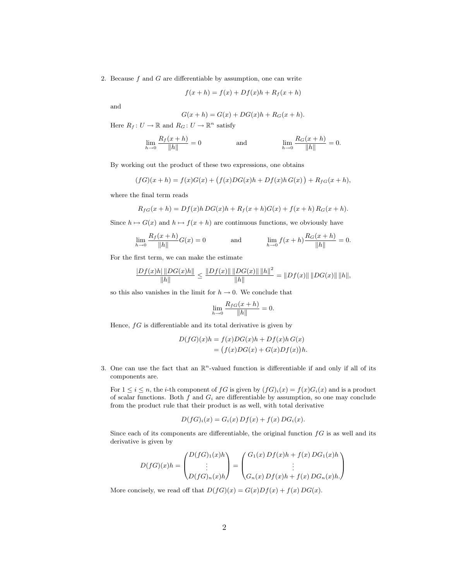2. Because  $f$  and  $G$  are differentiable by assumption, one can write

$$
f(x+h) = f(x) + Df(x)h + R_f(x+h)
$$

and

$$
G(x+h) = G(x) + DG(x)h + R_G(x+h).
$$

Here  $R_f: U \to \mathbb{R}$  and  $R_G: U \to \mathbb{R}^n$  satisfy

$$
\lim_{h \to 0} \frac{R_f(x+h)}{\|h\|} = 0 \n\qquad \text{and} \qquad\n\lim_{h \to 0} \frac{R_G(x+h)}{\|h\|} = 0.
$$

By working out the product of these two expressions, one obtains

$$
(fG)(x+h) = f(x)G(x) + (f(x)DG(x)h + Df(x)h G(x)) + R_{fG}(x+h),
$$

where the final term reads

$$
R_{fG}(x+h) = Df(x)h\,DG(x)h + R_f(x+h)G(x) + f(x+h)R_G(x+h).
$$

Since  $h \mapsto G(x)$  and  $h \mapsto f(x + h)$  are continuous functions, we obviously have

$$
\lim_{h \to 0} \frac{R_f(x+h)}{\|h\|} G(x) = 0 \quad \text{and} \quad \lim_{h \to 0} f(x+h) \frac{R_G(x+h)}{\|h\|} = 0.
$$

For the first term, we can make the estimate

$$
\frac{\left| Df(x)h \right| \left\| DG(x)h \right\|}{\left\| h \right\|} \le \frac{\left\| Df(x) \right\| \left\| DG(x) \right\| \left\| h \right\|^{2}}{\left\| h \right\|} = \left\| Df(x) \right\| \left\| DG(x) \right\| \left\| h \right\|,
$$

so this also vanishes in the limit for  $h \to 0$ . We conclude that

$$
\lim_{h \to 0} \frac{R_{fG}(x+h)}{\|h\|} = 0.
$$

Hence,  $fG$  is differentiable and its total derivative is given by

$$
D(fG)(x)h = f(x)DG(x)h + Df(x)h G(x)
$$
  
= 
$$
(f(x)DG(x) + G(x)Df(x))h.
$$

3. One can use the fact that an  $\mathbb{R}^n$ -valued function is differentiable if and only if all of its components are.

For  $1 \leq i \leq n$ , the *i*-th component of fG is given by  $(fG)_i(x) = f(x)G_i(x)$  and is a product of scalar functions. Both  $f$  and  $G_i$  are differentiable by assumption, so one may conclude from the product rule that their product is as well, with total derivative

$$
D(fG)_i(x) = G_i(x) Df(x) + f(x) DG_i(x).
$$

Since each of its components are differentiable, the original function  $fG$  is as well and its derivative is given by

$$
D(fG)(x)h = \begin{pmatrix} D(fG)_1(x)h \\ \vdots \\ D(fG)_n(x)h \end{pmatrix} = \begin{pmatrix} G_1(x) Df(x)h + f(x) DG_1(x)h \\ \vdots \\ G_n(x) Df(x)h + f(x) DG_n(x)h. \end{pmatrix}
$$

More concisely, we read off that  $D(fG)(x) = G(x)Df(x) + f(x)DG(x)$ .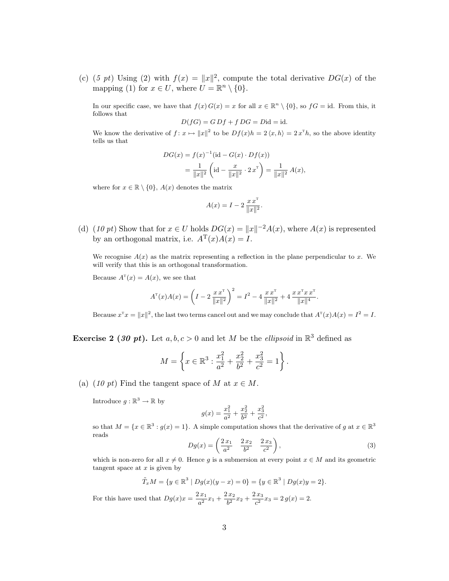(c) (5 pt) Using (2) with  $f(x) = ||x||^2$ , compute the total derivative  $DG(x)$  of the mapping (1) for  $x \in U$ , where  $U = \mathbb{R}^n \setminus \{0\}.$ 

In our specific case, we have that  $f(x) G(x) = x$  for all  $x \in \mathbb{R}^n \setminus \{0\}$ , so  $fG = id$ . From this, it follows that

$$
D(fG) = G Df + f DG = Did = id.
$$

We know the derivative of  $f: x \mapsto ||x||^2$  to be  $Df(x)h = 2\langle x, h \rangle = 2x^{\mathrm{T}}h$ , so the above identity tells us that

$$
DG(x) = f(x)^{-1}(\text{id} - G(x) \cdot Df(x))
$$
  
= 
$$
\frac{1}{\|x\|^2} \left(\text{id} - \frac{x}{\|x\|^2} \cdot 2 x^{\text{T}}\right) = \frac{1}{\|x\|^2} A(x),
$$

where for  $x \in \mathbb{R} \setminus \{0\}$ ,  $A(x)$  denotes the matrix

$$
A(x) = I - 2 \frac{x x^{T}}{\|x\|^{2}}.
$$

(d) (10 pt) Show that for  $x \in U$  holds  $DG(x) = ||x||^{-2}A(x)$ , where  $A(x)$  is represented by an orthogonal matrix, i.e.  $A^{T}(x)A(x) = I$ .

We recognise  $A(x)$  as the matrix representing a reflection in the plane perpendicular to x. We will verify that this is an orthogonal transformation.

Because  $A^{\text{T}}(x) = A(x)$ , we see that

$$
A^{T}(x)A(x) = \left(I - 2\frac{x x^{T}}{\|x\|^{2}}\right)^{2} = I^{2} - 4\frac{x x^{T}}{\|x\|^{2}} + 4\frac{x x^{T} x x^{T}}{\|x\|^{4}}.
$$

Because  $x^{\mathrm{T}} x = ||x||^2$ , the last two terms cancel out and we may conclude that  $A^{\mathrm{T}}(x)A(x) = I^2 = I$ .

**Exercise 2** (30 pt). Let  $a, b, c > 0$  and let M be the *ellipsoid* in  $\mathbb{R}^3$  defined as

$$
M = \left\{ x \in \mathbb{R}^3 : \frac{x_1^2}{a^2} + \frac{x_2^2}{b^2} + \frac{x_3^2}{c^2} = 1 \right\}.
$$

(a) (10 pt) Find the tangent space of M at  $x \in M$ .

Introduce  $g : \mathbb{R}^3 \to \mathbb{R}$  by

$$
g(x) = \frac{x_1^2}{a^2} + \frac{x_2^2}{b^2} + \frac{x_3^2}{c^2}
$$

so that  $M = \{x \in \mathbb{R}^3 : g(x) = 1\}$ . A simple computation shows that the derivative of g at  $x \in \mathbb{R}^3$ reads

$$
Dg(x) = \left(\frac{2x_1}{a^2} - \frac{2x_2}{b^2} - \frac{2x_3}{c^2}\right),\tag{3}
$$

,

which is non-zero for all  $x \neq 0$ . Hence g is a submersion at every point  $x \in M$  and its geometric tangent space at  $x$  is given by

$$
\tilde{T}_x M = \{ y \in \mathbb{R}^3 \mid Dg(x)(y - x) = 0 \} = \{ y \in \mathbb{R}^3 \mid Dg(x)y = 2 \}.
$$

For this have used that  $Dg(x)x = \frac{2x_1}{2}$  $rac{2x_1}{a^2}x_1 + \frac{2x_2}{b^2}$  $rac{3x_2}{b^2}x_2 + \frac{2x_3}{c^2}$  $\frac{3}{c^2}x_3=2g(x)=2.$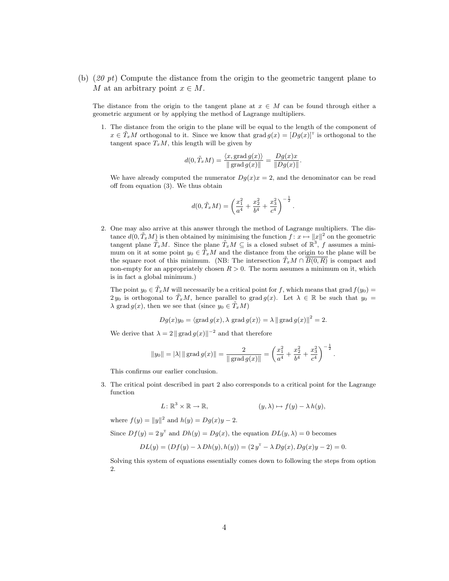(b)  $(20 \text{ pt})$  Compute the distance from the origin to the geometric tangent plane to M at an arbitrary point  $x \in M$ .

The distance from the origin to the tangent plane at  $x \in M$  can be found through either a geometric argument or by applying the method of Lagrange multipliers.

1. The distance from the origin to the plane will be equal to the length of the component of  $x \in \tilde{T}_xM$  orthogonal to it. Since we know that grad  $g(x) = [Dg(x)]^T$  is orthogonal to the tangent space  $T_xM$ , this length will be given by

$$
d(0, \tilde{T}_x M) = \frac{\langle x, \text{grad } g(x) \rangle}{\|\text{grad } g(x)\|} = \frac{Dg(x)x}{\|Dg(x)\|}.
$$

We have already computed the numerator  $Dg(x)x = 2$ , and the denominator can be read off from equation (3). We thus obtain

$$
d(0, \tilde{T}_x M) = \left(\frac{x_1^2}{a^4} + \frac{x_2^2}{b^4} + \frac{x_3^2}{c^4}\right)^{-\frac{1}{2}}.
$$

2. One may also arrive at this answer through the method of Lagrange multipliers. The distance  $d(0, \tilde{T}_x M)$  is then obtained by minimising the function  $f: x \mapsto ||x||^2$  on the geometric tangent plane  $\tilde{T}_xM$ . Since the plane  $\tilde{T}_xM\subseteq$  is a closed subset of  $\mathbb{R}^3$ , f assumes a minimum on it at some point  $y_0 \in \tilde{T}_xM$  and the distance from the origin to the plane will be the square root of this minimum. (NB: The intersection  $T_xM \cap B(0, R)$  is compact and non-empty for an appropriately chosen  $R > 0$ . The norm assumes a minimum on it, which is in fact a global minimum.)

The point  $y_0 \in \tilde{T}_x M$  will necessarily be a critical point for f, which means that grad  $f(y_0) =$  $2 y_0$  is orthogonal to  $\tilde{T}_x M$ , hence parallel to grad  $g(x)$ . Let  $\lambda \in \mathbb{R}$  be such that  $y_0 =$  $\lambda$  grad  $g(x)$ , then we see that (since  $y_0 \in \tilde{T}_xM$ )

$$
Dg(x)y_0 = \langle \text{grad } g(x), \lambda \text{ grad } g(x) \rangle = \lambda || \text{grad } g(x) ||^2 = 2.
$$

We derive that  $\lambda = 2 || \text{grad } g(x)||^{-2}$  and that therefore

$$
||y_0|| = |\lambda| ||\text{grad } g(x)|| = \frac{2}{||\text{grad } g(x)||} = \left(\frac{x_1^2}{a^4} + \frac{x_2^2}{b^4} + \frac{x_3^2}{c^4}\right)^{-\frac{1}{2}}.
$$

This confirms our earlier conclusion.

3. The critical point described in part 2 also corresponds to a critical point for the Lagrange function

$$
L: \mathbb{R}^3 \times \mathbb{R} \to \mathbb{R}, \qquad (y, \lambda) \mapsto f(y) - \lambda h(y),
$$

where  $f(y) = ||y||^2$  and  $h(y) = Dg(x)y - 2$ .

Since  $Df(y) = 2y^{\mathrm{T}}$  and  $Dh(y) = Dg(x)$ , the equation  $DL(y, \lambda) = 0$  becomes

$$
DL(y) = (Df(y) - \lambda Dh(y), h(y)) = (2y^{\mathrm{T}} - \lambda Dg(x), Dg(x)y - 2) = 0.
$$

Solving this system of equations essentially comes down to following the steps from option  $\mathfrak{D}$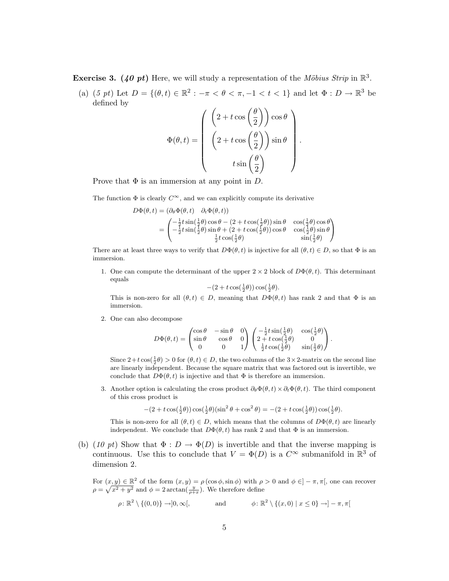**Exercise 3.** (40 pt) Here, we will study a representation of the Möbius Strip in  $\mathbb{R}^3$ .

(a)  $(5 \text{ pt})$  Let  $D = \{(\theta, t) \in \mathbb{R}^2 : -\pi < \theta < \pi, -1 < t < 1\}$  and let  $\Phi : D \to \mathbb{R}^3$  be defined by  $\sqrt{2}$ 

$$
\Phi(\theta, t) = \begin{pmatrix} \left(2 + t \cos\left(\frac{\theta}{2}\right)\right) \cos \theta \\ \left(2 + t \cos\left(\frac{\theta}{2}\right)\right) \sin \theta \\ t \sin\left(\frac{\theta}{2}\right) \end{pmatrix}.
$$

Prove that  $\Phi$  is an immersion at any point in D.

The function  $\Phi$  is clearly  $C^{\infty}$ , and we can explicitly compute its derivative

$$
D\Phi(\theta, t) = (\partial_{\theta}\Phi(\theta, t) \quad \partial_{t}\Phi(\theta, t))
$$
  
= 
$$
\begin{pmatrix} -\frac{1}{2}t\sin(\frac{1}{2}\theta)\cos\theta - (2 + t\cos(\frac{1}{2}\theta))\sin\theta & \cos(\frac{1}{2}\theta)\cos\theta \\ -\frac{1}{2}t\sin(\frac{1}{2}\theta)\sin\theta + (2 + t\cos(\frac{1}{2}\theta))\cos\theta & \cos(\frac{1}{2}\theta)\sin\theta \\ \frac{1}{2}t\cos(\frac{1}{2}\theta) & \sin(\frac{1}{2}\theta) \end{pmatrix}
$$

There are at least three ways to verify that  $D\Phi(\theta, t)$  is injective for all  $(\theta, t) \in D$ , so that  $\Phi$  is an immersion.

1. One can compute the determinant of the upper  $2 \times 2$  block of  $D\Phi(\theta, t)$ . This determinant equals

$$
-(2+t\cos(\tfrac{1}{2}\theta))\cos(\tfrac{1}{2}\theta).
$$

This is non-zero for all  $(\theta, t) \in D$ , meaning that  $D\Phi(\theta, t)$  has rank 2 and that  $\Phi$  is an immersion.

2. One can also decompose

$$
D\Phi(\theta, t) = \begin{pmatrix} \cos \theta & -\sin \theta & 0 \\ \sin \theta & \cos \theta & 0 \\ 0 & 0 & 1 \end{pmatrix} \begin{pmatrix} -\frac{1}{2}t \sin(\frac{1}{2}\theta) & \cos(\frac{1}{2}\theta) \\ 2 + t \cos(\frac{1}{2}\theta) & 0 \\ \frac{1}{2}t \cos(\frac{1}{2}\theta) & \sin(\frac{1}{2}\theta) \end{pmatrix}.
$$

Since  $2+t\cos(\frac{1}{2}\theta) > 0$  for  $(\theta, t) \in D$ , the two columns of the  $3 \times 2$ -matrix on the second line are linearly independent. Because the square matrix that was factored out is invertible, we conclude that  $D\Phi(\theta, t)$  is injective and that  $\Phi$  is therefore an immersion.

3. Another option is calculating the cross product  $\partial_{\theta} \Phi(\theta, t) \times \partial_t \Phi(\theta, t)$ . The third component of this cross product is

$$
-(2+t\cos(\tfrac{1}{2}\theta))\cos(\tfrac{1}{2}\theta)(\sin^2\theta+\cos^2\theta)=-(2+t\cos(\tfrac{1}{2}\theta))\cos(\tfrac{1}{2}\theta).
$$

This is non-zero for all  $(\theta, t) \in D$ , which means that the columns of  $D\Phi(\theta, t)$  are linearly independent. We conclude that  $D\Phi(\theta, t)$  has rank 2 and that  $\Phi$  is an immersion.

(b) (10 pt) Show that  $\Phi: D \to \Phi(D)$  is invertible and that the inverse mapping is continuous. Use this to conclude that  $V = \Phi(D)$  is a  $C^{\infty}$  submanifold in  $\mathbb{R}^3$  of dimension 2.

For  $(x, y) \in \mathbb{R}^2$  of the form  $(x, y) = \rho(\cos \phi, \sin \phi)$  with  $\rho > 0$  and  $\phi \in ]-\pi, \pi[$ , one can recover  $\rho = \sqrt{x^2 + y^2}$  and  $\phi = 2 \arctan(\frac{y}{\rho + x})$ . We therefore define

$$
\rho \colon \mathbb{R}^2 \setminus \{(0,0)\} \to ]0,\infty[, \quad \text{and} \quad \phi \colon \mathbb{R}^2 \setminus \{(x,0) \mid x \le 0\} \to ]-\pi,\pi[
$$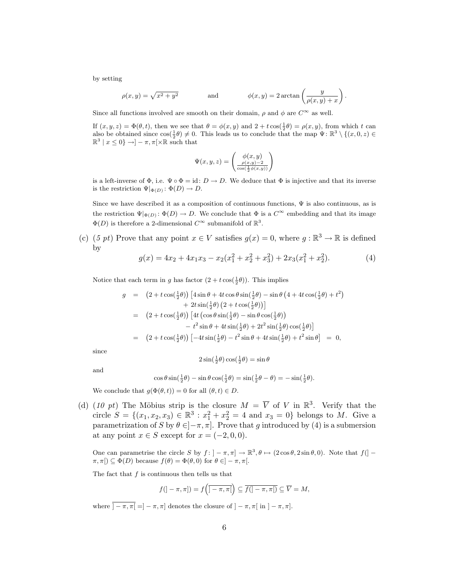by setting

$$
\rho(x,y) = \sqrt{x^2 + y^2} \qquad \text{and} \qquad \phi(x,y) = 2\arctan\left(\frac{y}{\rho(x,y) + x}\right)
$$

.

Since all functions involved are smooth on their domain,  $\rho$  and  $\phi$  are  $C^{\infty}$  as well.

If  $(x, y, z) = \Phi(\theta, t)$ , then we see that  $\theta = \phi(x, y)$  and  $2 + t \cos(\frac{1}{2}\theta) = \rho(x, y)$ , from which t can also be obtained since  $\cos(\frac{1}{2}\theta) \neq 0$ . This leads us to conclude that the map  $\Psi: \mathbb{R}^3 \setminus \{(x,0,z) \in$  $\mathbb{R}^3 \mid x \leq 0$   $\rightarrow$   $\mid -\pi, \pi \mid \times \mathbb{R}$  such that

$$
\Psi(x, y, z) = \begin{pmatrix} \phi(x, y) \\ \frac{\rho(x, y) - 2}{\cos(\frac{1}{2}\phi(x, y))} \end{pmatrix}
$$

is a left-inverse of  $\Phi$ , i.e.  $\Psi \circ \Phi = id$ :  $D \to D$ . We deduce that  $\Phi$  is injective and that its inverse is the restriction  $\Psi|_{\Phi(D)} \colon \Phi(D) \to D$ .

Since we have described it as a composition of continuous functions,  $\Psi$  is also continuous, as is the restriction  $\Psi|_{\Phi(D)}$ :  $\Phi(D) \to D$ . We conclude that  $\Phi$  is a  $C^{\infty}$  embedding and that its image  $\Phi(D)$  is therefore a 2-dimensional  $C^{\infty}$  submanifold of  $\mathbb{R}^3$ .

(c) (5 pt) Prove that any point  $x \in V$  satisfies  $g(x) = 0$ , where  $g : \mathbb{R}^3 \to \mathbb{R}$  is defined by

$$
g(x) = 4x_2 + 4x_1x_3 - x_2(x_1^2 + x_2^2 + x_3^2) + 2x_3(x_1^2 + x_2^2).
$$
 (4)

Notice that each term in g has factor  $(2 + t \cos(\frac{1}{2}\theta))$ . This implies

$$
g = (2 + t \cos(\frac{1}{2}\theta)) \left[ 4 \sin \theta + 4t \cos \theta \sin(\frac{1}{2}\theta) - \sin \theta \left( 4 + 4t \cos(\frac{1}{2}\theta) + t^2 \right) \right] + 2t \sin(\frac{1}{2}\theta) \left( 2 + t \cos(\frac{1}{2}\theta) \right) \left[ 4t \left( \cos \theta \sin(\frac{1}{2}\theta) - \sin \theta \cos(\frac{1}{2}\theta) \right) \right] - t^2 \sin \theta + 4t \sin(\frac{1}{2}\theta) + 2t^2 \sin(\frac{1}{2}\theta) \cos(\frac{1}{2}\theta) \left[ 2 + t \cos(\frac{1}{2}\theta) \right] \left[ -4t \sin(\frac{1}{2}\theta) - t^2 \sin \theta + 4t \sin(\frac{1}{2}\theta) + t^2 \sin \theta \right] = 0,
$$

since

$$
2\sin(\frac{1}{2}\theta)\cos(\frac{1}{2}\theta) = \sin\theta
$$

and

$$
\cos\theta\sin(\tfrac{1}{2}\theta) - \sin\theta\cos(\tfrac{1}{2}\theta) = \sin(\tfrac{1}{2}\theta - \theta) = -\sin(\tfrac{1}{2}\theta).
$$

We conclude that  $g(\Phi(\theta, t)) = 0$  for all  $(\theta, t) \in D$ .

(d) (10 pt) The Möbius strip is the closure  $M = \overline{V}$  of V in  $\mathbb{R}^3$ . Verify that the circle  $S = \{(x_1, x_2, x_3) \in \mathbb{R}^3 : x_1^2 + x_2^2 = 4 \text{ and } x_3 = 0\}$  belongs to M. Give a parametrization of S by  $\theta \in ]-\pi, \pi]$ . Prove that g introduced by (4) is a submersion at any point  $x \in S$  except for  $x = (-2, 0, 0)$ .

One can parametrise the circle S by  $f: ]-\pi, \pi] \to \mathbb{R}^3, \theta \mapsto (2\cos\theta, 2\sin\theta, 0)$ . Note that  $f([ \pi, \pi$ [)  $\subseteq \Phi(D)$  because  $f(\theta) = \Phi(\theta, 0)$  for  $\theta \in ]-\pi, \pi[$ .

The fact that  $f$  is continuous then tells us that

$$
f(]-\pi,\pi]) = f(\overline{]-\pi,\pi[}\right) \subseteq \overline{f(]-\pi,\pi[)} \subseteq \overline{V} = M,
$$

where  $\overline{\mathcal{I} - \pi, \pi} = \mathcal{I} - \pi, \pi$  denotes the closure of  $\mathcal{I} - \pi, \pi$  in  $\mathcal{I} - \pi, \pi$ .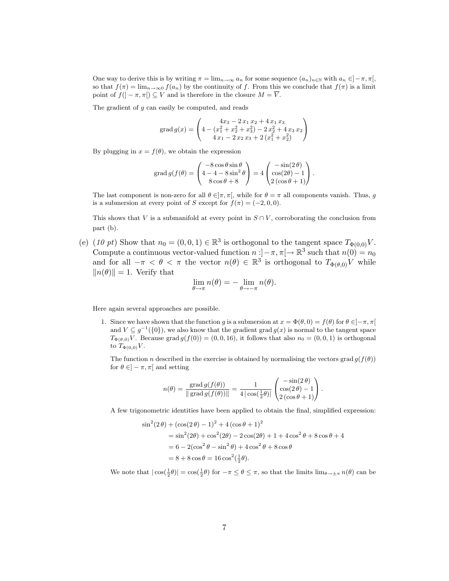One way to derive this is by writing  $\pi = \lim_{n \to \infty} a_n$  for some sequence  $(a_n)_{n \in \mathbb{N}}$  with  $a_n \in ]-\pi, \pi[$ , so that  $f(\pi) = \lim_{n \to \infty} f(a_n)$  by the continuity of f. From this we conclude that  $f(\pi)$  is a limit point of  $f(-\pi, \pi) \subseteq V$  and is therefore in the closure  $M = \overline{V}$ .

The gradient of  $g$  can easily be computed, and reads

grad 
$$
g(x) = \begin{pmatrix} 4x_3 - 2x_1x_2 + 4x_1x_3 \\ 4 - (x_1^2 + x_2^2 + x_3^2) - 2x_2^2 + 4x_3x_2 \\ 4x_1 - 2x_2x_3 + 2(x_1^2 + x_2^2) \end{pmatrix}
$$

By plugging in  $x = f(\theta)$ , we obtain the expression

$$
\operatorname{grad} g(f(\theta)) = \begin{pmatrix} -8\cos\theta\sin\theta \\ 4 - 4 - 8\sin^2\theta \\ 8\cos\theta + 8 \end{pmatrix} = 4 \begin{pmatrix} -\sin(2\theta) \\ \cos(2\theta) - 1 \\ 2(\cos\theta + 1) \end{pmatrix}.
$$

The last component is non-zero for all  $\theta \in ]\pi, \pi[$ , while for  $\theta = \pi$  all components vanish. Thus, g is a submersion at every point of S except for  $f(\pi) = (-2, 0, 0)$ .

This shows that V is a submanifold at every point in  $S \cap V$ , corroborating the conclusion from part (b).

(e) (10 pt) Show that  $n_0 = (0, 0, 1) \in \mathbb{R}^3$  is orthogonal to the tangent space  $T_{\Phi(0,0)}V$ . Compute a continuous vector-valued function  $n:]-\pi,\pi[ \to \mathbb{R}^3$  such that  $n(0) = n_0$ and for all  $-\pi < \theta < \pi$  the vector  $n(\theta) \in \mathbb{R}^3$  is orthogonal to  $T_{\Phi(\theta,0)}V$  while  $||n(\theta)|| = 1$ . Verify that

$$
\lim_{\theta \to \pi} n(\theta) = -\lim_{\theta \to -\pi} n(\theta).
$$

Here again several approaches are possible.

s

1. Since we have shown that the function g is a submersion at  $x = \Phi(\theta, 0) = f(\theta)$  for  $\theta \in ]-\pi, \pi[$ and  $V \subseteq g^{-1}(\{0\})$ , we also know that the gradient grad  $g(x)$  is normal to the tangent space  $T_{\Phi(\theta,0)}V$ . Because grad  $g(f(0)) = (0, 0, 16)$ , it follows that also  $n_0 = (0, 0, 1)$  is orthogonal to  $T_{\Phi(0,0)}V$ .

The function n described in the exercise is obtained by normalising the vectors grad  $g(f(\theta))$ for  $\theta \in ]-\pi, \pi[$  and setting

$$
n(\theta) = \frac{\text{grad } g(f(\theta))}{\|\text{grad } g(f(\theta))\|} = \frac{1}{4 \left| \cos(\frac{1}{2}\theta) \right|} \begin{pmatrix} -\sin(2\theta) \\ \cos(2\theta) - 1 \\ 2(\cos\theta + 1) \end{pmatrix}.
$$

A few trigonometric identities have been applied to obtain the final, simplified expression:

$$
\begin{aligned} \sin^2(2\,\theta) + (\cos(2\,\theta) - 1)^2 + 4\,(\cos\theta + 1)^2 \\ &= \sin^2(2\theta) + \cos^2(2\theta) - 2\cos(2\theta) + 1 + 4\cos^2\theta + 8\cos\theta + 4 \\ &= 6 - 2(\cos^2\theta - \sin^2\theta) + 4\cos^2\theta + 8\cos\theta \\ &= 8 + 8\cos\theta = 16\cos^2(\frac{1}{2}\theta). \end{aligned}
$$

We note that  $|\cos(\frac{1}{2}\theta)| = \cos(\frac{1}{2}\theta)$  for  $-\pi \le \theta \le \pi$ , so that the limits  $\lim_{\theta \to \pm \pi} n(\theta)$  can be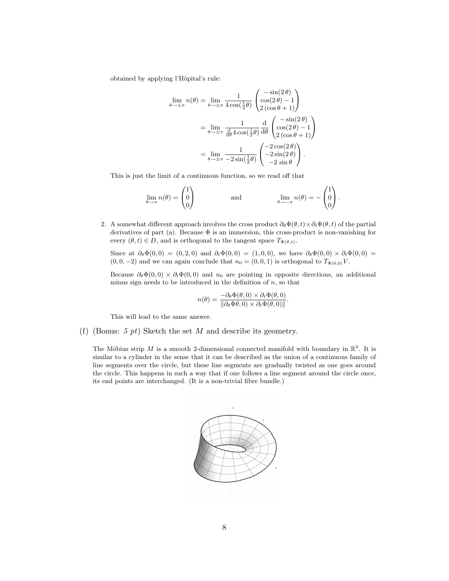obtained by applying l'Hôpital's rule:

$$
\lim_{\theta \to \pm \pi} n(\theta) = \lim_{\theta \to \pm \pi} \frac{1}{4 \cos(\frac{1}{2}\theta)} \begin{pmatrix} -\sin(2\theta) \\ \cos(2\theta) - 1 \\ 2(\cos \theta + 1) \end{pmatrix}
$$

$$
= \lim_{\theta \to \pm \pi} \frac{1}{\frac{d}{d\theta} 4 \cos(\frac{1}{2}\theta)} \frac{d}{d\theta} \begin{pmatrix} -\sin(2\theta) \\ \cos(2\theta) - 1 \\ 2(\cos \theta + 1) \end{pmatrix}
$$

$$
= \lim_{\theta \to \pm \pi} \frac{1}{-2 \sin(\frac{1}{2}\theta)} \begin{pmatrix} -2 \cos(2\theta) \\ -2 \sin(2\theta) \\ -2 \sin \theta \end{pmatrix}.
$$

This is just the limit of a continuous function, so we read off that

$$
\lim_{\theta \to \pi} n(\theta) = \begin{pmatrix} 1 \\ 0 \\ 0 \end{pmatrix} \quad \text{and} \quad \lim_{\theta \to -\pi} n(\theta) = -\begin{pmatrix} 1 \\ 0 \\ 0 \end{pmatrix}.
$$

2. A somewhat different approach involves the cross product  $\partial_{\theta} \Phi(\theta, t) \times \partial_t \Phi(\theta, t)$  of the partial derivatives of part (a). Because  $\Phi$  is an immersion, this cross-product is non-vanishing for every  $(\theta, t) \in D$ , and is orthogonal to the tangent space  $T_{\Phi(\theta,t)}$ .

Since at  $\partial_{\theta} \Phi(0,0) = (0, 2, 0)$  and  $\partial_t \Phi(0,0) = (1, 0, 0)$ , we have  $\partial_{\theta} \Phi(0,0) \times \partial_t \Phi(0,0) =$  $(0, 0, -2)$  and we can again conclude that  $n_0 = (0, 0, 1)$  is orthogonal to  $T_{\Phi(0,0)}V$ .

Because  $\partial_{\theta} \Phi(0,0) \times \partial_t \Phi(0,0)$  and  $n_0$  are pointing in opposite directions, an additional minus sign needs to be introduced in the definition of  $n$ , so that

$$
n(\theta) = \frac{-\partial_{\theta} \Phi(\theta,0) \times \partial_t \Phi(\theta,0)}{\|\partial_{\theta} \Phi(\theta,0) \times \partial_t \Phi(\theta,0)\|}.
$$

This will lead to the same answer.

(f) (Bonus: 5 pt) Sketch the set M and describe its geometry.

The Möbius strip M is a smooth 2-dimensional connected manifold with boundary in  $\mathbb{R}^3$ . It is similar to a cylinder in the sense that it can be described as the union of a continuous family of line segments over the circle, but these line segments are gradually twisted as one goes around the circle. This happens in such a way that if one follows a line segment around the circle once, its end points are interchanged. (It is a non-trivial fibre bundle.)